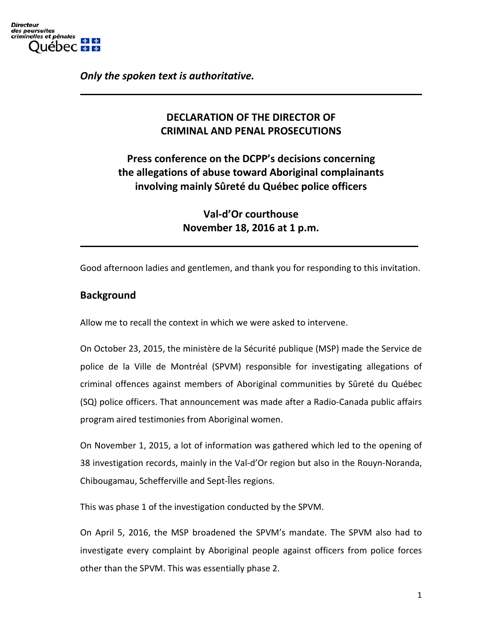

*Only the spoken text is authoritative.*

# **DECLARATION OF THE DIRECTOR OF CRIMINAL AND PENAL PROSECUTIONS**

**Press conference on the DCPP's decisions concerning the allegations of abuse toward Aboriginal complainants involving mainly Sûreté du Québec police officers**

> **Val-d'Or courthouse November 18, 2016 at 1 p.m.**

Good afternoon ladies and gentlemen, and thank you for responding to this invitation.

### **Background**

Allow me to recall the context in which we were asked to intervene.

On October 23, 2015, the ministère de la Sécurité publique (MSP) made the Service de police de la Ville de Montréal (SPVM) responsible for investigating allegations of criminal offences against members of Aboriginal communities by Sûreté du Québec (SQ) police officers. That announcement was made after a Radio-Canada public affairs program aired testimonies from Aboriginal women.

On November 1, 2015, a lot of information was gathered which led to the opening of 38 investigation records, mainly in the Val-d'Or region but also in the Rouyn-Noranda, Chibougamau, Schefferville and Sept-Îles regions.

This was phase 1 of the investigation conducted by the SPVM.

On April 5, 2016, the MSP broadened the SPVM's mandate. The SPVM also had to investigate every complaint by Aboriginal people against officers from police forces other than the SPVM. This was essentially phase 2.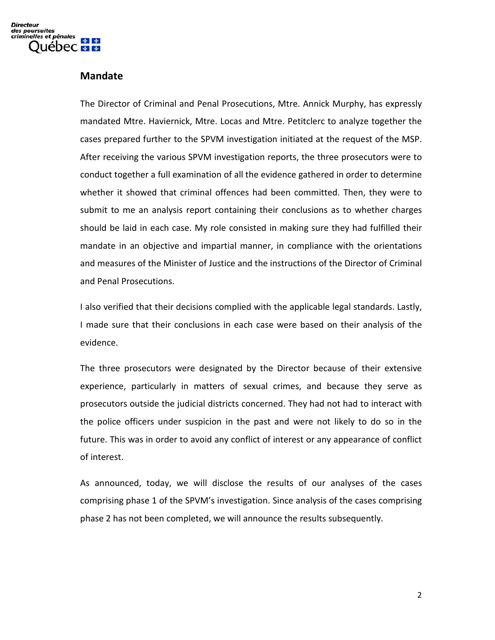### **Mandate**

The Director of Criminal and Penal Prosecutions, Mtre. Annick Murphy, has expressly mandated Mtre. Haviernick, Mtre. Locas and Mtre. Petitclerc to analyze together the cases prepared further to the SPVM investigation initiated at the request of the MSP. After receiving the various SPVM investigation reports, the three prosecutors were to conduct together a full examination of all the evidence gathered in order to determine whether it showed that criminal offences had been committed. Then, they were to submit to me an analysis report containing their conclusions as to whether charges should be laid in each case. My role consisted in making sure they had fulfilled their mandate in an objective and impartial manner, in compliance with the orientations and measures of the Minister of Justice and the instructions of the Director of Criminal and Penal Prosecutions.

I also verified that their decisions complied with the applicable legal standards. Lastly, I made sure that their conclusions in each case were based on their analysis of the evidence.

The three prosecutors were designated by the Director because of their extensive experience, particularly in matters of sexual crimes, and because they serve as prosecutors outside the judicial districts concerned. They had not had to interact with the police officers under suspicion in the past and were not likely to do so in the future. This was in order to avoid any conflict of interest or any appearance of conflict of interest.

As announced, today, we will disclose the results of our analyses of the cases comprising phase 1 of the SPVM's investigation. Since analysis of the cases comprising phase 2 has not been completed, we will announce the results subsequently.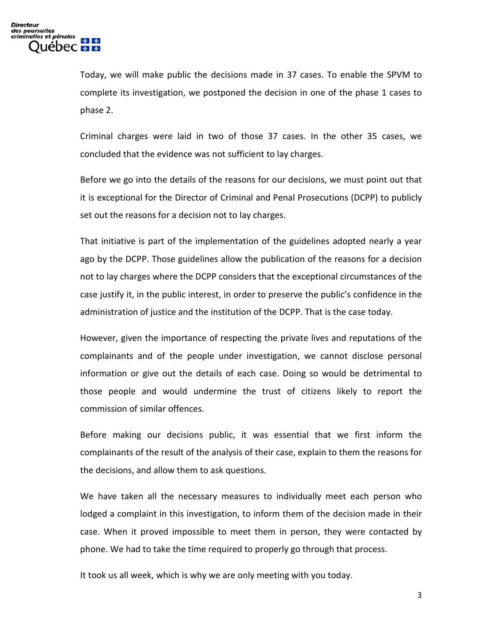Today, we will make public the decisions made in 37 cases. To enable the SPVM to complete its investigation, we postponed the decision in one of the phase 1 cases to phase 2.

Criminal charges were laid in two of those 37 cases. In the other 35 cases, we concluded that the evidence was not sufficient to lay charges.

Before we go into the details of the reasons for our decisions, we must point out that it is exceptional for the Director of Criminal and Penal Prosecutions (DCPP) to publicly set out the reasons for a decision not to lay charges.

That initiative is part of the implementation of the guidelines adopted nearly a year ago by the DCPP. Those guidelines allow the publication of the reasons for a decision not to lay charges where the DCPP considers that the exceptional circumstances of the case justify it, in the public interest, in order to preserve the public's confidence in the administration of justice and the institution of the DCPP. That is the case today.

However, given the importance of respecting the private lives and reputations of the complainants and of the people under investigation, we cannot disclose personal information or give out the details of each case. Doing so would be detrimental to those people and would undermine the trust of citizens likely to report the commission of similar offences.

Before making our decisions public, it was essential that we first inform the complainants of the result of the analysis of their case, explain to them the reasons for the decisions, and allow them to ask questions.

We have taken all the necessary measures to individually meet each person who lodged a complaint in this investigation, to inform them of the decision made in their case. When it proved impossible to meet them in person, they were contacted by phone. We had to take the time required to properly go through that process.

It took us all week, which is why we are only meeting with you today.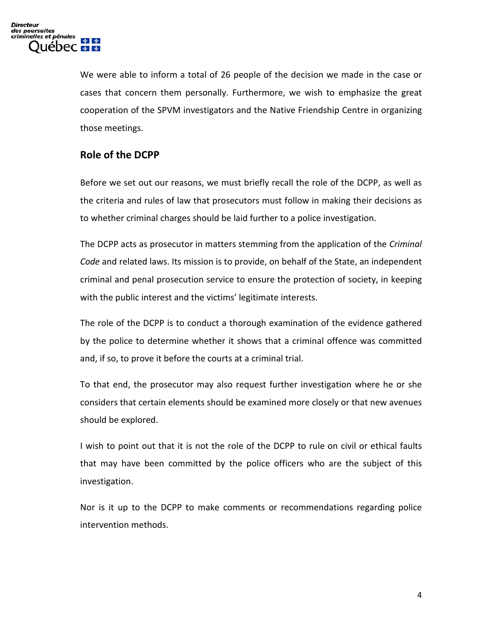We were able to inform a total of 26 people of the decision we made in the case or cases that concern them personally. Furthermore, we wish to emphasize the great cooperation of the SPVM investigators and the Native Friendship Centre in organizing those meetings.

## **Role of the DCPP**

Before we set out our reasons, we must briefly recall the role of the DCPP, as well as the criteria and rules of law that prosecutors must follow in making their decisions as to whether criminal charges should be laid further to a police investigation.

The DCPP acts as prosecutor in matters stemming from the application of the *Criminal Code* and related laws. Its mission is to provide, on behalf of the State, an independent criminal and penal prosecution service to ensure the protection of society, in keeping with the public interest and the victims' legitimate interests.

The role of the DCPP is to conduct a thorough examination of the evidence gathered by the police to determine whether it shows that a criminal offence was committed and, if so, to prove it before the courts at a criminal trial.

To that end, the prosecutor may also request further investigation where he or she considers that certain elements should be examined more closely or that new avenues should be explored.

I wish to point out that it is not the role of the DCPP to rule on civil or ethical faults that may have been committed by the police officers who are the subject of this investigation.

Nor is it up to the DCPP to make comments or recommendations regarding police intervention methods.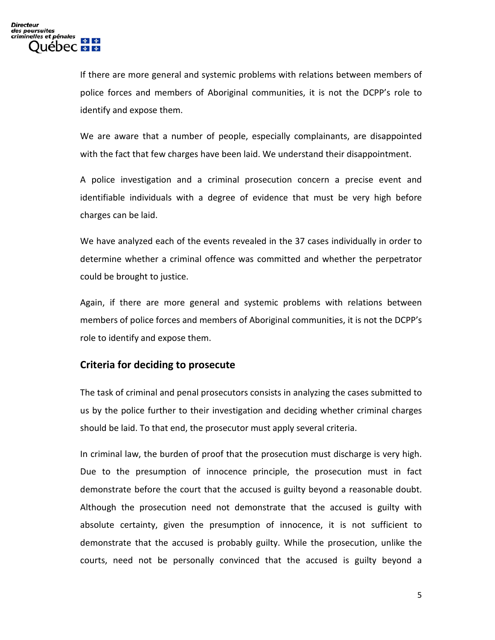If there are more general and systemic problems with relations between members of police forces and members of Aboriginal communities, it is not the DCPP's role to identify and expose them.

We are aware that a number of people, especially complainants, are disappointed with the fact that few charges have been laid. We understand their disappointment.

A police investigation and a criminal prosecution concern a precise event and identifiable individuals with a degree of evidence that must be very high before charges can be laid.

We have analyzed each of the events revealed in the 37 cases individually in order to determine whether a criminal offence was committed and whether the perpetrator could be brought to justice.

Again, if there are more general and systemic problems with relations between members of police forces and members of Aboriginal communities, it is not the DCPP's role to identify and expose them.

### **Criteria for deciding to prosecute**

The task of criminal and penal prosecutors consists in analyzing the cases submitted to us by the police further to their investigation and deciding whether criminal charges should be laid. To that end, the prosecutor must apply several criteria.

In criminal law, the burden of proof that the prosecution must discharge is very high. Due to the presumption of innocence principle, the prosecution must in fact demonstrate before the court that the accused is guilty beyond a reasonable doubt. Although the prosecution need not demonstrate that the accused is guilty with absolute certainty, given the presumption of innocence, it is not sufficient to demonstrate that the accused is probably guilty. While the prosecution, unlike the courts, need not be personally convinced that the accused is guilty beyond a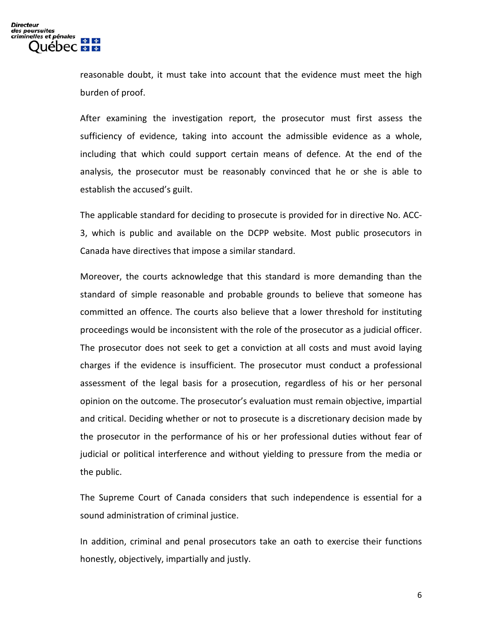reasonable doubt, it must take into account that the evidence must meet the high burden of proof.

After examining the investigation report, the prosecutor must first assess the sufficiency of evidence, taking into account the admissible evidence as a whole, including that which could support certain means of defence. At the end of the analysis, the prosecutor must be reasonably convinced that he or she is able to establish the accused's guilt.

The applicable standard for deciding to prosecute is provided for in directive No. ACC-3, which is public and available on the DCPP website. Most public prosecutors in Canada have directives that impose a similar standard.

Moreover, the courts acknowledge that this standard is more demanding than the standard of simple reasonable and probable grounds to believe that someone has committed an offence. The courts also believe that a lower threshold for instituting proceedings would be inconsistent with the role of the prosecutor as a judicial officer. The prosecutor does not seek to get a conviction at all costs and must avoid laying charges if the evidence is insufficient. The prosecutor must conduct a professional assessment of the legal basis for a prosecution, regardless of his or her personal opinion on the outcome. The prosecutor's evaluation must remain objective, impartial and critical. Deciding whether or not to prosecute is a discretionary decision made by the prosecutor in the performance of his or her professional duties without fear of judicial or political interference and without yielding to pressure from the media or the public.

The Supreme Court of Canada considers that such independence is essential for a sound administration of criminal justice.

In addition, criminal and penal prosecutors take an oath to exercise their functions honestly, objectively, impartially and justly.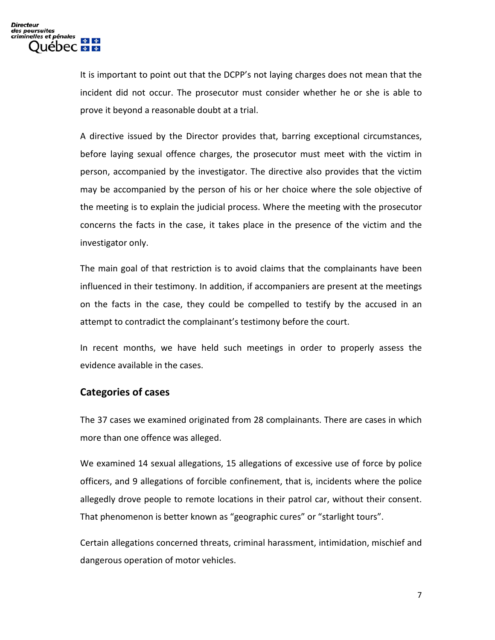It is important to point out that the DCPP's not laying charges does not mean that the incident did not occur. The prosecutor must consider whether he or she is able to prove it beyond a reasonable doubt at a trial.

A directive issued by the Director provides that, barring exceptional circumstances, before laying sexual offence charges, the prosecutor must meet with the victim in person, accompanied by the investigator. The directive also provides that the victim may be accompanied by the person of his or her choice where the sole objective of the meeting is to explain the judicial process. Where the meeting with the prosecutor concerns the facts in the case, it takes place in the presence of the victim and the investigator only.

The main goal of that restriction is to avoid claims that the complainants have been influenced in their testimony. In addition, if accompaniers are present at the meetings on the facts in the case, they could be compelled to testify by the accused in an attempt to contradict the complainant's testimony before the court.

In recent months, we have held such meetings in order to properly assess the evidence available in the cases.

### **Categories of cases**

The 37 cases we examined originated from 28 complainants. There are cases in which more than one offence was alleged.

We examined 14 sexual allegations, 15 allegations of excessive use of force by police officers, and 9 allegations of forcible confinement, that is, incidents where the police allegedly drove people to remote locations in their patrol car, without their consent. That phenomenon is better known as "geographic cures" or "starlight tours".

Certain allegations concerned threats, criminal harassment, intimidation, mischief and dangerous operation of motor vehicles.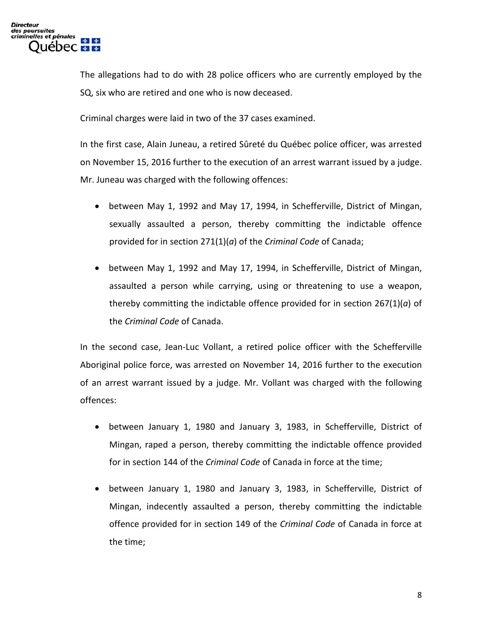The allegations had to do with 28 police officers who are currently employed by the SQ, six who are retired and one who is now deceased.

Criminal charges were laid in two of the 37 cases examined.

In the first case, Alain Juneau, a retired Sûreté du Québec police officer, was arrested on November 15, 2016 further to the execution of an arrest warrant issued by a judge. Mr. Juneau was charged with the following offences:

- between May 1, 1992 and May 17, 1994, in Schefferville, District of Mingan, sexually assaulted a person, thereby committing the indictable offence provided for in section 271(1)(*a*) of the *Criminal Code* of Canada;
- between May 1, 1992 and May 17, 1994, in Schefferville, District of Mingan, assaulted a person while carrying, using or threatening to use a weapon, thereby committing the indictable offence provided for in section 267(1)(*a*) of the *Criminal Code* of Canada.

In the second case, Jean-Luc Vollant, a retired police officer with the Schefferville Aboriginal police force, was arrested on November 14, 2016 further to the execution of an arrest warrant issued by a judge. Mr. Vollant was charged with the following offences:

- between January 1, 1980 and January 3, 1983, in Schefferville, District of Mingan, raped a person, thereby committing the indictable offence provided for in section 144 of the *Criminal Code* of Canada in force at the time;
- between January 1, 1980 and January 3, 1983, in Schefferville, District of Mingan, indecently assaulted a person, thereby committing the indictable offence provided for in section 149 of the *Criminal Code* of Canada in force at the time;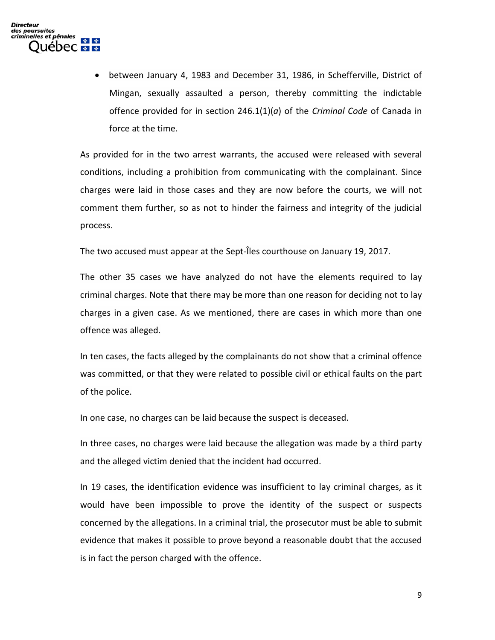• between January 4, 1983 and December 31, 1986, in Schefferville, District of Mingan, sexually assaulted a person, thereby committing the indictable offence provided for in section 246.1(1)(*a*) of the *Criminal Code* of Canada in force at the time.

As provided for in the two arrest warrants, the accused were released with several conditions, including a prohibition from communicating with the complainant. Since charges were laid in those cases and they are now before the courts, we will not comment them further, so as not to hinder the fairness and integrity of the judicial process.

The two accused must appear at the Sept-Îles courthouse on January 19, 2017.

The other 35 cases we have analyzed do not have the elements required to lay criminal charges. Note that there may be more than one reason for deciding not to lay charges in a given case. As we mentioned, there are cases in which more than one offence was alleged.

In ten cases, the facts alleged by the complainants do not show that a criminal offence was committed, or that they were related to possible civil or ethical faults on the part of the police.

In one case, no charges can be laid because the suspect is deceased.

In three cases, no charges were laid because the allegation was made by a third party and the alleged victim denied that the incident had occurred.

In 19 cases, the identification evidence was insufficient to lay criminal charges, as it would have been impossible to prove the identity of the suspect or suspects concerned by the allegations. In a criminal trial, the prosecutor must be able to submit evidence that makes it possible to prove beyond a reasonable doubt that the accused is in fact the person charged with the offence.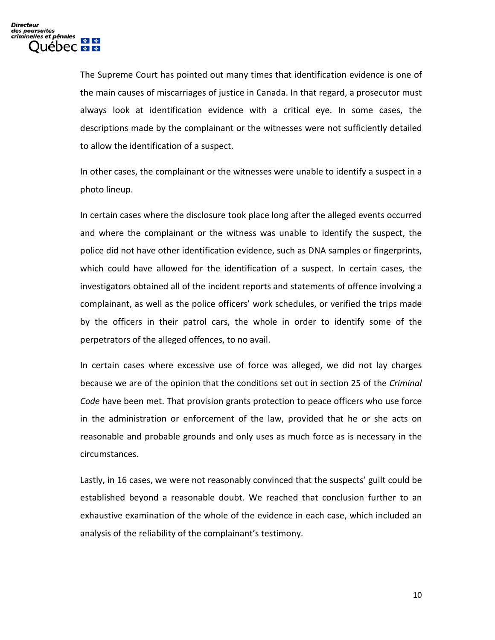The Supreme Court has pointed out many times that identification evidence is one of the main causes of miscarriages of justice in Canada. In that regard, a prosecutor must always look at identification evidence with a critical eye. In some cases, the descriptions made by the complainant or the witnesses were not sufficiently detailed to allow the identification of a suspect.

In other cases, the complainant or the witnesses were unable to identify a suspect in a photo lineup.

In certain cases where the disclosure took place long after the alleged events occurred and where the complainant or the witness was unable to identify the suspect, the police did not have other identification evidence, such as DNA samples or fingerprints, which could have allowed for the identification of a suspect. In certain cases, the investigators obtained all of the incident reports and statements of offence involving a complainant, as well as the police officers' work schedules, or verified the trips made by the officers in their patrol cars, the whole in order to identify some of the perpetrators of the alleged offences, to no avail.

In certain cases where excessive use of force was alleged, we did not lay charges because we are of the opinion that the conditions set out in section 25 of the *Criminal Code* have been met. That provision grants protection to peace officers who use force in the administration or enforcement of the law, provided that he or she acts on reasonable and probable grounds and only uses as much force as is necessary in the circumstances.

Lastly, in 16 cases, we were not reasonably convinced that the suspects' guilt could be established beyond a reasonable doubt. We reached that conclusion further to an exhaustive examination of the whole of the evidence in each case, which included an analysis of the reliability of the complainant's testimony.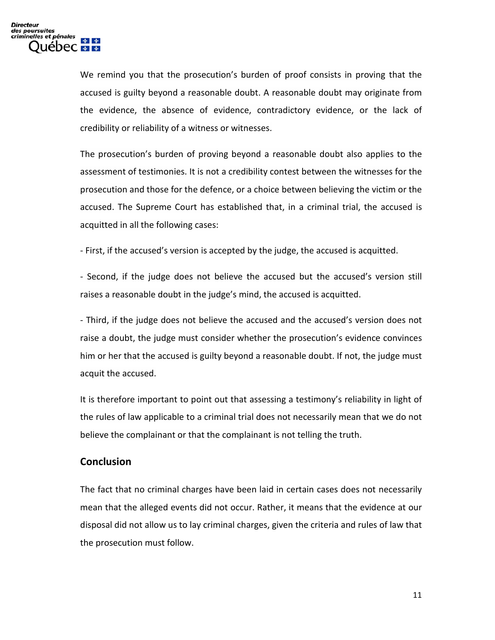We remind you that the prosecution's burden of proof consists in proving that the accused is guilty beyond a reasonable doubt. A reasonable doubt may originate from the evidence, the absence of evidence, contradictory evidence, or the lack of credibility or reliability of a witness or witnesses.

The prosecution's burden of proving beyond a reasonable doubt also applies to the assessment of testimonies. It is not a credibility contest between the witnesses for the prosecution and those for the defence, or a choice between believing the victim or the accused. The Supreme Court has established that, in a criminal trial, the accused is acquitted in all the following cases:

- First, if the accused's version is accepted by the judge, the accused is acquitted.

- Second, if the judge does not believe the accused but the accused's version still raises a reasonable doubt in the judge's mind, the accused is acquitted.

- Third, if the judge does not believe the accused and the accused's version does not raise a doubt, the judge must consider whether the prosecution's evidence convinces him or her that the accused is guilty beyond a reasonable doubt. If not, the judge must acquit the accused.

It is therefore important to point out that assessing a testimony's reliability in light of the rules of law applicable to a criminal trial does not necessarily mean that we do not believe the complainant or that the complainant is not telling the truth.

#### **Conclusion**

The fact that no criminal charges have been laid in certain cases does not necessarily mean that the alleged events did not occur. Rather, it means that the evidence at our disposal did not allow us to lay criminal charges, given the criteria and rules of law that the prosecution must follow.